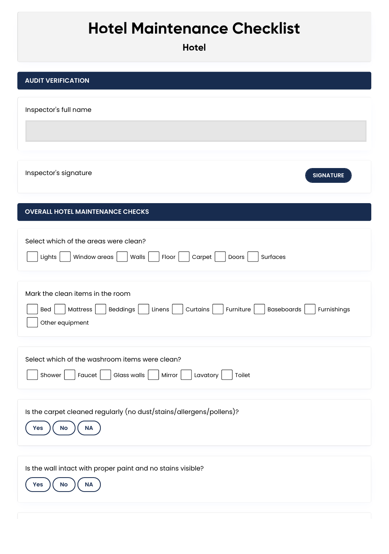## **Hotel Maintenance Checklist**

| <b>Hotel Maintenance Checklist</b><br><b>Hotel</b>                                                                                                        |
|-----------------------------------------------------------------------------------------------------------------------------------------------------------|
| <b>AUDIT VERIFICATION</b>                                                                                                                                 |
| Inspector's full name                                                                                                                                     |
|                                                                                                                                                           |
| Inspector's signature<br><b>SIGNATURE</b>                                                                                                                 |
| <b>OVERALL HOTEL MAINTENANCE CHECKS</b>                                                                                                                   |
| Select which of the areas were clean?<br>Window areas<br>Walls<br>Floor<br>Carpet<br>Doors<br>Surfaces<br>Lights                                          |
| Mark the clean items in the room<br>Curtains<br>Mattress<br>Beddings<br>Linens<br>Furniture<br>Baseboards<br><b>Bed</b><br>Furnishings<br>Other equipment |

I

| Select which of the washroom items were clean?   |  |
|--------------------------------------------------|--|
| Shower Faucet Glass walls Nirror Lavatory Toilet |  |

| Is the carpet cleaned regularly (no dust/stains/allergens/pollens)?<br><b>No</b><br><b>NA</b><br>Yes |  |
|------------------------------------------------------------------------------------------------------|--|
| Is the wall intact with proper paint and no stains visible?<br><b>NA</b><br>No<br>Yes                |  |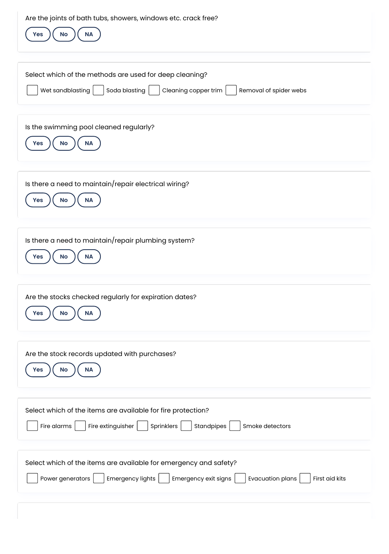| Are the joints of bath tubs, showers, windows etc. crack free?<br><b>No</b><br>Yes<br>$\sf NA$                                                                          |
|-------------------------------------------------------------------------------------------------------------------------------------------------------------------------|
| Select which of the methods are used for deep cleaning?<br>Wet sandblasting<br>Soda blasting<br>Cleaning copper trim<br>Removal of spider webs                          |
| Is the swimming pool cleaned regularly?<br>No<br>$\sf NA$<br>Yes                                                                                                        |
| Is there a need to maintain/repair electrical wiring?<br>No<br>$\sf NA$<br>Yes                                                                                          |
| Is there a need to maintain/repair plumbing system?<br>No<br>NA<br><b>Yes</b>                                                                                           |
| Are the stocks checked regularly for expiration dates?<br>Yes<br><b>No</b><br>NA                                                                                        |
| Are the stock records updated with purchases?<br>$\sf NA$<br>Yes<br>No                                                                                                  |
| Select which of the items are available for fire protection?<br>Fire alarms<br>Fire extinguisher<br>Sprinklers<br>Standpipes<br>Smoke detectors                         |
| Select which of the items are available for emergency and safety?<br>Evacuation plans<br>Power generators<br>Emergency lights<br>Emergency exit signs<br>First aid kits |